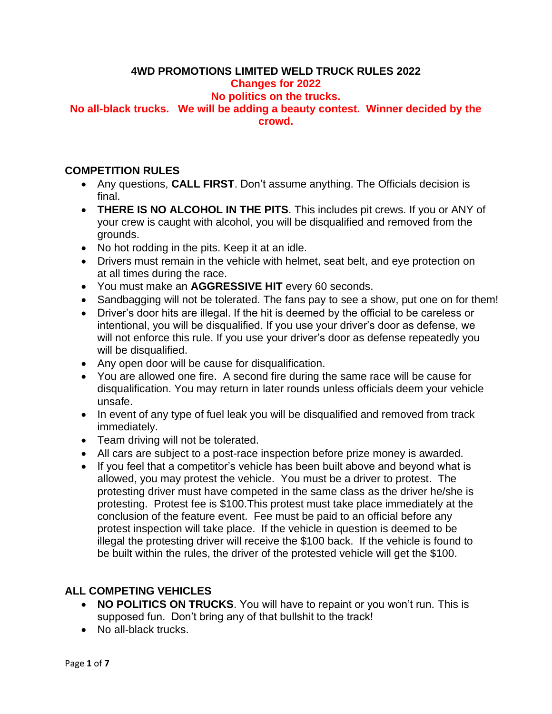# **4WD PROMOTIONS LIMITED WELD TRUCK RULES 2022**

### **Changes for 2022**

## **No politics on the trucks.**

**No all-black trucks. We will be adding a beauty contest. Winner decided by the crowd.**

### **COMPETITION RULES**

- Any questions, **CALL FIRST**. Don't assume anything. The Officials decision is final.
- **THERE IS NO ALCOHOL IN THE PITS**. This includes pit crews. If you or ANY of your crew is caught with alcohol, you will be disqualified and removed from the grounds.
- No hot rodding in the pits. Keep it at an idle.
- Drivers must remain in the vehicle with helmet, seat belt, and eye protection on at all times during the race.
- You must make an **AGGRESSIVE HIT** every 60 seconds.
- Sandbagging will not be tolerated. The fans pay to see a show, put one on for them!
- Driver's door hits are illegal. If the hit is deemed by the official to be careless or intentional, you will be disqualified. If you use your driver's door as defense, we will not enforce this rule. If you use your driver's door as defense repeatedly you will be disqualified.
- Any open door will be cause for disqualification.
- You are allowed one fire. A second fire during the same race will be cause for disqualification. You may return in later rounds unless officials deem your vehicle unsafe.
- In event of any type of fuel leak you will be disqualified and removed from track immediately.
- Team driving will not be tolerated.
- All cars are subject to a post-race inspection before prize money is awarded.
- If you feel that a competitor's vehicle has been built above and beyond what is allowed, you may protest the vehicle. You must be a driver to protest. The protesting driver must have competed in the same class as the driver he/she is protesting. Protest fee is \$100.This protest must take place immediately at the conclusion of the feature event. Fee must be paid to an official before any protest inspection will take place. If the vehicle in question is deemed to be illegal the protesting driver will receive the \$100 back. If the vehicle is found to be built within the rules, the driver of the protested vehicle will get the \$100.

## **ALL COMPETING VEHICLES**

- **NO POLITICS ON TRUCKS**. You will have to repaint or you won't run. This is supposed fun. Don't bring any of that bullshit to the track!
- No all-black trucks.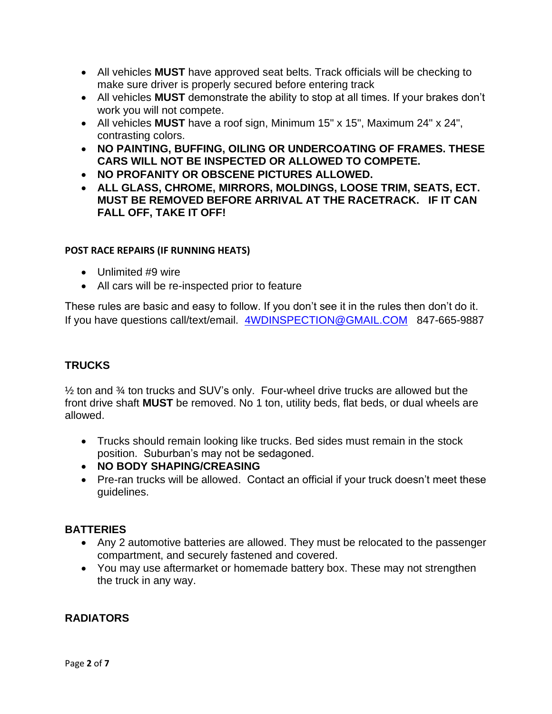- All vehicles **MUST** have approved seat belts. Track officials will be checking to make sure driver is properly secured before entering track
- All vehicles **MUST** demonstrate the ability to stop at all times. If your brakes don't work you will not compete.
- All vehicles **MUST** have a roof sign, Minimum 15" x 15", Maximum 24" x 24", contrasting colors.
- **NO PAINTING, BUFFING, OILING OR UNDERCOATING OF FRAMES. THESE CARS WILL NOT BE INSPECTED OR ALLOWED TO COMPETE.**
- **NO PROFANITY OR OBSCENE PICTURES ALLOWED.**
- **ALL GLASS, CHROME, MIRRORS, MOLDINGS, LOOSE TRIM, SEATS, ECT. MUST BE REMOVED BEFORE ARRIVAL AT THE RACETRACK. IF IT CAN FALL OFF, TAKE IT OFF!**

### **POST RACE REPAIRS (IF RUNNING HEATS)**

- Unlimited #9 wire
- All cars will be re-inspected prior to feature

These rules are basic and easy to follow. If you don't see it in the rules then don't do it. If you have questions call/text/email. [4WDINSPECTION@GMAIL.COM](mailto:4WDINSPECTION@GMAIL.COM) 847-665-9887

## **TRUCKS**

½ ton and ¾ ton trucks and SUV's only. Four-wheel drive trucks are allowed but the front drive shaft **MUST** be removed. No 1 ton, utility beds, flat beds, or dual wheels are allowed.

- Trucks should remain looking like trucks. Bed sides must remain in the stock position. Suburban's may not be sedagoned.
- **NO BODY SHAPING/CREASING**
- Pre-ran trucks will be allowed. Contact an official if your truck doesn't meet these guidelines.

### **BATTERIES**

- Any 2 automotive batteries are allowed. They must be relocated to the passenger compartment, and securely fastened and covered.
- You may use aftermarket or homemade battery box. These may not strengthen the truck in any way.

### **RADIATORS**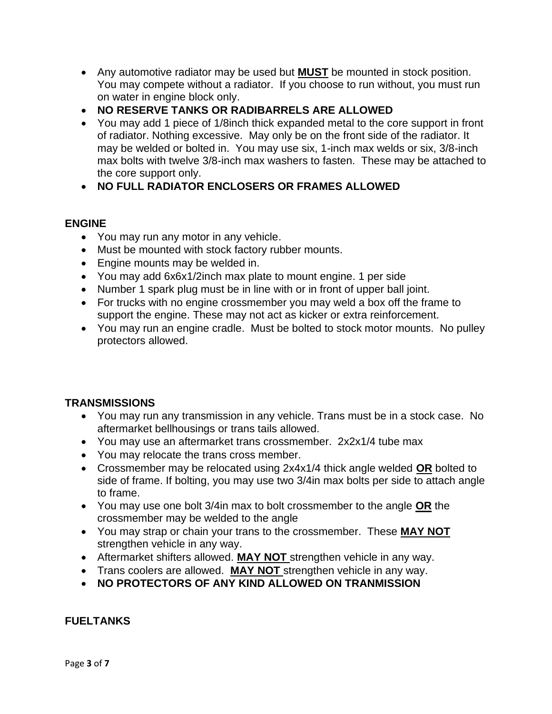- Any automotive radiator may be used but **MUST** be mounted in stock position. You may compete without a radiator. If you choose to run without, you must run on water in engine block only.
- **NO RESERVE TANKS OR RADIBARRELS ARE ALLOWED**
- You may add 1 piece of 1/8inch thick expanded metal to the core support in front of radiator. Nothing excessive. May only be on the front side of the radiator. It may be welded or bolted in. You may use six, 1-inch max welds or six, 3/8-inch max bolts with twelve 3/8-inch max washers to fasten. These may be attached to the core support only.
- **NO FULL RADIATOR ENCLOSERS OR FRAMES ALLOWED**

## **ENGINE**

- You may run any motor in any vehicle.
- Must be mounted with stock factory rubber mounts.
- Engine mounts may be welded in.
- You may add 6x6x1/2inch max plate to mount engine. 1 per side
- Number 1 spark plug must be in line with or in front of upper ball joint.
- For trucks with no engine crossmember you may weld a box off the frame to support the engine. These may not act as kicker or extra reinforcement.
- You may run an engine cradle. Must be bolted to stock motor mounts. No pulley protectors allowed.

## **TRANSMISSIONS**

- You may run any transmission in any vehicle. Trans must be in a stock case. No aftermarket bellhousings or trans tails allowed.
- You may use an aftermarket trans crossmember. 2x2x1/4 tube max
- You may relocate the trans cross member.
- Crossmember may be relocated using 2x4x1/4 thick angle welded **OR** bolted to side of frame. If bolting, you may use two 3/4in max bolts per side to attach angle to frame.
- You may use one bolt 3/4in max to bolt crossmember to the angle **OR** the crossmember may be welded to the angle
- You may strap or chain your trans to the crossmember. These **MAY NOT**  strengthen vehicle in any way.
- Aftermarket shifters allowed. **MAY NOT** strengthen vehicle in any way.
- Trans coolers are allowed. **MAY NOT** strengthen vehicle in any way.
- **NO PROTECTORS OF ANY KIND ALLOWED ON TRANMISSION**

## **FUELTANKS**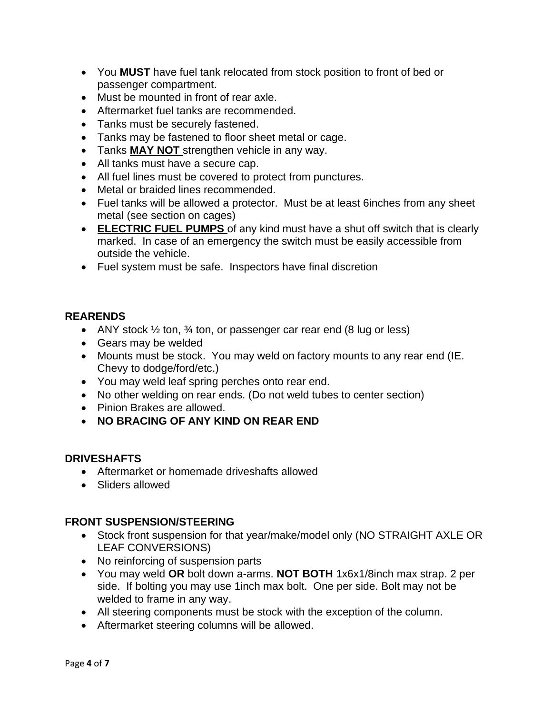- You **MUST** have fuel tank relocated from stock position to front of bed or passenger compartment.
- Must be mounted in front of rear axle.
- Aftermarket fuel tanks are recommended.
- Tanks must be securely fastened.
- Tanks may be fastened to floor sheet metal or cage.
- Tanks **MAY NOT** strengthen vehicle in any way.
- All tanks must have a secure cap.
- All fuel lines must be covered to protect from punctures.
- Metal or braided lines recommended.
- Fuel tanks will be allowed a protector. Must be at least 6inches from any sheet metal (see section on cages)
- **ELECTRIC FUEL PUMPS** of any kind must have a shut off switch that is clearly marked. In case of an emergency the switch must be easily accessible from outside the vehicle.
- Fuel system must be safe. Inspectors have final discretion

#### **REARENDS**

- ANY stock  $\frac{1}{2}$  ton,  $\frac{3}{4}$  ton, or passenger car rear end (8 lug or less)
- Gears may be welded
- Mounts must be stock. You may weld on factory mounts to any rear end (IE. Chevy to dodge/ford/etc.)
- You may weld leaf spring perches onto rear end.
- No other welding on rear ends. (Do not weld tubes to center section)
- Pinion Brakes are allowed.
- **NO BRACING OF ANY KIND ON REAR END**

### **DRIVESHAFTS**

- Aftermarket or homemade driveshafts allowed
- Sliders allowed

### **FRONT SUSPENSION/STEERING**

- Stock front suspension for that year/make/model only (NO STRAIGHT AXLE OR LEAF CONVERSIONS)
- No reinforcing of suspension parts
- You may weld **OR** bolt down a-arms. **NOT BOTH** 1x6x1/8inch max strap. 2 per side. If bolting you may use 1inch max bolt. One per side. Bolt may not be welded to frame in any way.
- All steering components must be stock with the exception of the column.
- Aftermarket steering columns will be allowed.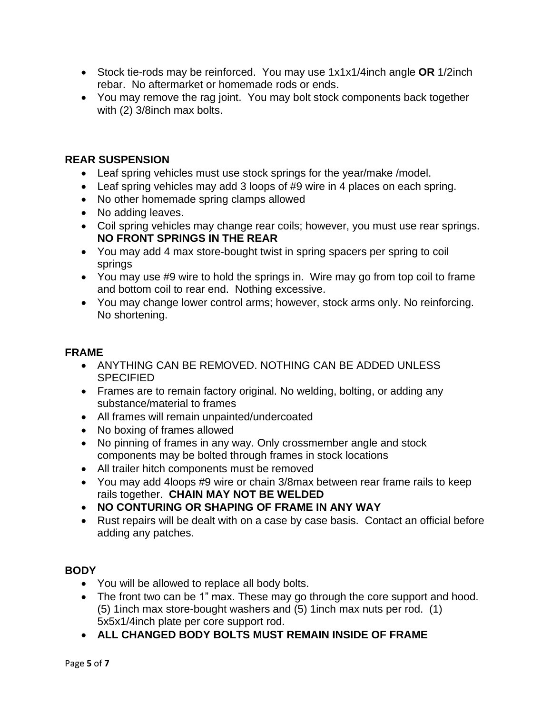- Stock tie-rods may be reinforced. You may use 1x1x1/4inch angle **OR** 1/2inch rebar. No aftermarket or homemade rods or ends.
- You may remove the rag joint. You may bolt stock components back together with (2) 3/8inch max bolts.

## **REAR SUSPENSION**

- Leaf spring vehicles must use stock springs for the year/make /model.
- Leaf spring vehicles may add 3 loops of #9 wire in 4 places on each spring.
- No other homemade spring clamps allowed
- No adding leaves.
- Coil spring vehicles may change rear coils; however, you must use rear springs. **NO FRONT SPRINGS IN THE REAR**
- You may add 4 max store-bought twist in spring spacers per spring to coil springs
- You may use #9 wire to hold the springs in. Wire may go from top coil to frame and bottom coil to rear end. Nothing excessive.
- You may change lower control arms; however, stock arms only. No reinforcing. No shortening.

## **FRAME**

- ANYTHING CAN BE REMOVED. NOTHING CAN BE ADDED UNLESS **SPECIFIED**
- Frames are to remain factory original. No welding, bolting, or adding any substance/material to frames
- All frames will remain unpainted/undercoated
- No boxing of frames allowed
- No pinning of frames in any way. Only crossmember angle and stock components may be bolted through frames in stock locations
- All trailer hitch components must be removed
- You may add 4loops #9 wire or chain 3/8max between rear frame rails to keep rails together. **CHAIN MAY NOT BE WELDED**
- **NO CONTURING OR SHAPING OF FRAME IN ANY WAY**
- Rust repairs will be dealt with on a case by case basis. Contact an official before adding any patches.

## **BODY**

- You will be allowed to replace all body bolts.
- The front two can be 1" max. These may go through the core support and hood. (5) 1inch max store-bought washers and (5) 1inch max nuts per rod. (1) 5x5x1/4inch plate per core support rod.
- **ALL CHANGED BODY BOLTS MUST REMAIN INSIDE OF FRAME**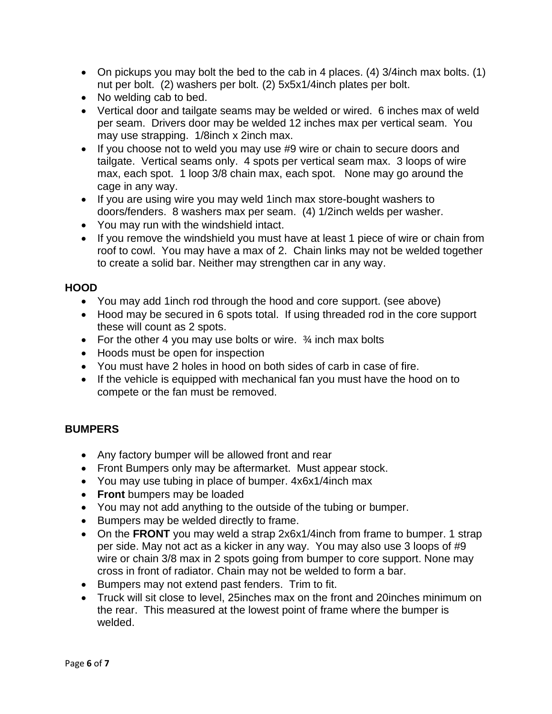- On pickups you may bolt the bed to the cab in 4 places. (4) 3/4inch max bolts. (1) nut per bolt. (2) washers per bolt. (2) 5x5x1/4inch plates per bolt.
- No welding cab to bed.
- Vertical door and tailgate seams may be welded or wired. 6 inches max of weld per seam. Drivers door may be welded 12 inches max per vertical seam. You may use strapping. 1/8inch x 2inch max.
- If you choose not to weld you may use #9 wire or chain to secure doors and tailgate. Vertical seams only. 4 spots per vertical seam max. 3 loops of wire max, each spot. 1 loop 3/8 chain max, each spot. None may go around the cage in any way.
- If you are using wire you may weld 1inch max store-bought washers to doors/fenders. 8 washers max per seam. (4) 1/2inch welds per washer.
- You may run with the windshield intact.
- If you remove the windshield you must have at least 1 piece of wire or chain from roof to cowl. You may have a max of 2. Chain links may not be welded together to create a solid bar. Neither may strengthen car in any way.

### **HOOD**

- You may add 1inch rod through the hood and core support. (see above)
- Hood may be secured in 6 spots total. If using threaded rod in the core support these will count as 2 spots.
- For the other 4 you may use bolts or wire.  $\frac{3}{4}$  inch max bolts
- Hoods must be open for inspection
- You must have 2 holes in hood on both sides of carb in case of fire.
- If the vehicle is equipped with mechanical fan you must have the hood on to compete or the fan must be removed.

### **BUMPERS**

- Any factory bumper will be allowed front and rear
- Front Bumpers only may be aftermarket. Must appear stock.
- You may use tubing in place of bumper. 4x6x1/4inch max
- **Front** bumpers may be loaded
- You may not add anything to the outside of the tubing or bumper.
- Bumpers may be welded directly to frame.
- On the **FRONT** you may weld a strap 2x6x1/4inch from frame to bumper. 1 strap per side. May not act as a kicker in any way. You may also use 3 loops of #9 wire or chain 3/8 max in 2 spots going from bumper to core support. None may cross in front of radiator. Chain may not be welded to form a bar.
- Bumpers may not extend past fenders. Trim to fit.
- Truck will sit close to level, 25inches max on the front and 20inches minimum on the rear. This measured at the lowest point of frame where the bumper is welded.